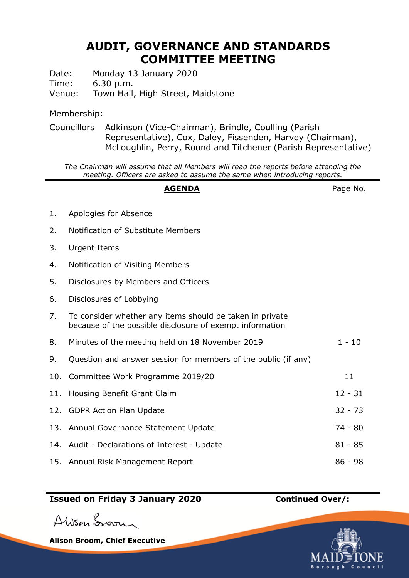# **AUDIT, GOVERNANCE AND STANDARDS COMMITTEE MEETING**

Date: Monday 13 January 2020

Time: 6.30 p.m.

Venue: Town Hall, High Street, Maidstone

### Membership:

Councillors Adkinson (Vice-Chairman), Brindle, Coulling (Parish Representative), Cox, Daley, Fissenden, Harvey (Chairman), McLoughlin, Perry, Round and Titchener (Parish Representative)

*The Chairman will assume that all Members will read the reports before attending the meeting. Officers are asked to assume the same when introducing reports.*

#### **AGENDA** Page No.

- 1. Apologies for Absence 2. Notification of Substitute Members 3. Urgent Items 4. Notification of Visiting Members 5. Disclosures by Members and Officers 6. Disclosures of Lobbying 7. To consider whether any items should be taken in private because of the possible disclosure of exempt information 8. Minutes of the meeting held on 18 November 2019 1 - 10 9. Question and answer session for members of the public (if any) 10. Committee Work Programme 2019/20 11 11. Housing Benefit Grant Claim 12. GDPR Action Plan Update 32 - 73 13. Annual Governance Statement Update 74 - 80 14. Audit - Declarations of Interest - Update 81 - 85
- 15. Annual Risk Management Report 86 98

# **Issued on Friday 3 January 2020 Continued Over/:**

Alison Broom

**Alison Broom, Chief Executive**